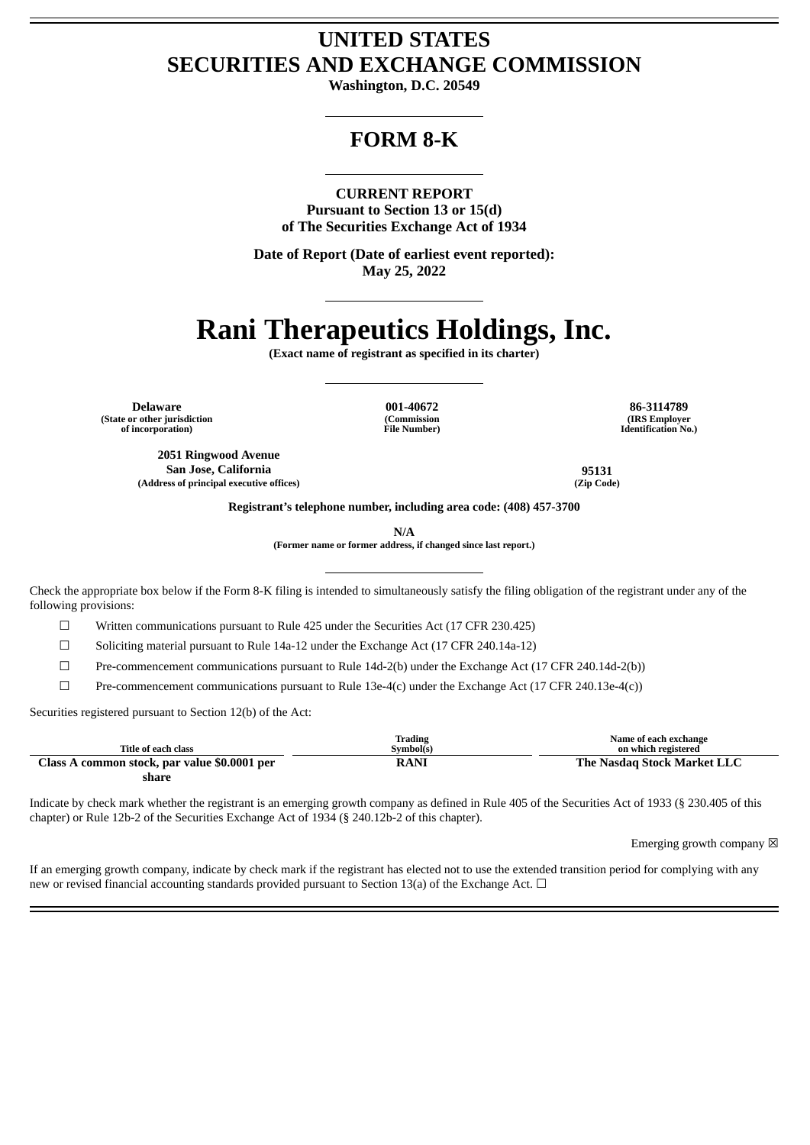## **UNITED STATES SECURITIES AND EXCHANGE COMMISSION**

**Washington, D.C. 20549**

## **FORM 8-K**

**CURRENT REPORT**

**Pursuant to Section 13 or 15(d) of The Securities Exchange Act of 1934**

**Date of Report (Date of earliest event reported): May 25, 2022**

# **Rani Therapeutics Holdings, Inc.**

**(Exact name of registrant as specified in its charter)**

**Delaware 001-40672 86-3114789 (State or other jurisdiction of incorporation)**

**(Commission File Number)**

**(IRS Employer Identification No.)**

**2051 Ringwood Avenue San Jose, California 95131 (Address of principal executive offices) (Zip Code)**

**Registrant's telephone number, including area code: (408) 457-3700**

**N/A**

**(Former name or former address, if changed since last report.)**

Check the appropriate box below if the Form 8-K filing is intended to simultaneously satisfy the filing obligation of the registrant under any of the following provisions:

 $\Box$  Written communications pursuant to Rule 425 under the Securities Act (17 CFR 230.425)

☐ Soliciting material pursuant to Rule 14a-12 under the Exchange Act (17 CFR 240.14a-12)

☐ Pre-commencement communications pursuant to Rule 14d-2(b) under the Exchange Act (17 CFR 240.14d-2(b))

 $\Box$  Pre-commencement communications pursuant to Rule 13e-4(c) under the Exchange Act (17 CFR 240.13e-4(c))

Securities registered pursuant to Section 12(b) of the Act:

| Title of each class                          | Trading<br>Svmbol(s) | Name of each exchange<br>on which registered |
|----------------------------------------------|----------------------|----------------------------------------------|
| Class A common stock, par value \$0.0001 per | RANI                 | The Nasdag Stock Market LLC                  |
| share                                        |                      |                                              |

Indicate by check mark whether the registrant is an emerging growth company as defined in Rule 405 of the Securities Act of 1933 (§ 230.405 of this chapter) or Rule 12b-2 of the Securities Exchange Act of 1934 (§ 240.12b-2 of this chapter).

Emerging growth company  $\boxtimes$ 

If an emerging growth company, indicate by check mark if the registrant has elected not to use the extended transition period for complying with any new or revised financial accounting standards provided pursuant to Section 13(a) of the Exchange Act. □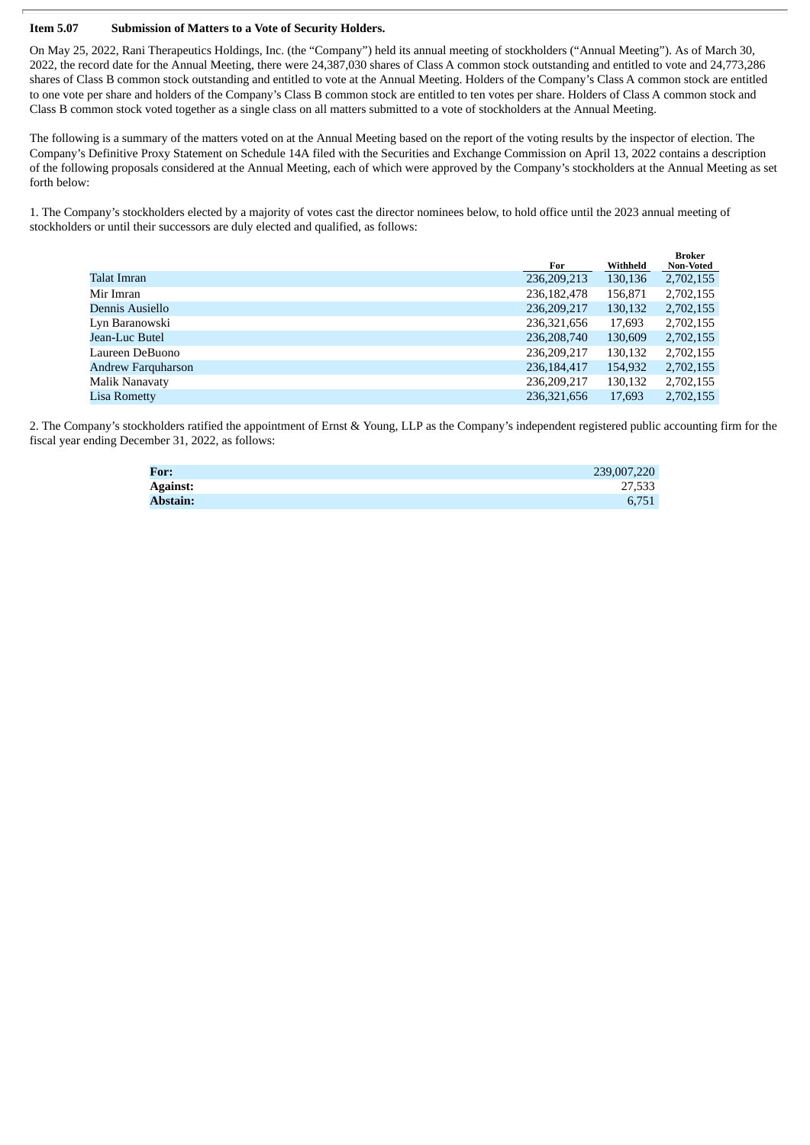#### **Item 5.07 Submission of Matters to a Vote of Security Holders.**

On May 25, 2022, Rani Therapeutics Holdings, Inc. (the "Company") held its annual meeting of stockholders ("Annual Meeting"). As of March 30, 2022, the record date for the Annual Meeting, there were 24,387,030 shares of Class A common stock outstanding and entitled to vote and 24,773,286 shares of Class B common stock outstanding and entitled to vote at the Annual Meeting. Holders of the Company's Class A common stock are entitled to one vote per share and holders of the Company's Class B common stock are entitled to ten votes per share. Holders of Class A common stock and Class B common stock voted together as a single class on all matters submitted to a vote of stockholders at the Annual Meeting.

The following is a summary of the matters voted on at the Annual Meeting based on the report of the voting results by the inspector of election. The Company's Definitive Proxy Statement on Schedule 14A filed with the Securities and Exchange Commission on April 13, 2022 contains a description of the following proposals considered at the Annual Meeting, each of which were approved by the Company's stockholders at the Annual Meeting as set forth below:

1. The Company's stockholders elected by a majority of votes cast the director nominees below, to hold office until the 2023 annual meeting of stockholders or until their successors are duly elected and qualified, as follows:

|                           | For           | Withheld | Broker<br><b>Non-Voted</b> |
|---------------------------|---------------|----------|----------------------------|
| Talat Imran               | 236,209,213   | 130,136  | 2,702,155                  |
| Mir Imran                 | 236, 182, 478 | 156,871  | 2,702,155                  |
| Dennis Ausiello           | 236,209,217   | 130,132  | 2,702,155                  |
| Lyn Baranowski            | 236,321,656   | 17,693   | 2,702,155                  |
| Jean-Luc Butel            | 236, 208, 740 | 130,609  | 2,702,155                  |
| Laureen DeBuono           | 236,209,217   | 130,132  | 2,702,155                  |
| <b>Andrew Farquharson</b> | 236, 184, 417 | 154,932  | 2,702,155                  |
| Malik Nanavaty            | 236.209.217   | 130,132  | 2,702,155                  |
| <b>Lisa Rometty</b>       | 236,321,656   | 17,693   | 2,702,155                  |

2. The Company's stockholders ratified the appointment of Ernst & Young, LLP as the Company's independent registered public accounting firm for the fiscal year ending December 31, 2022, as follows:

| For:            | 239,007,220 |
|-----------------|-------------|
| <b>Against:</b> | 27,533      |
| <b>Abstain:</b> | 6.751       |